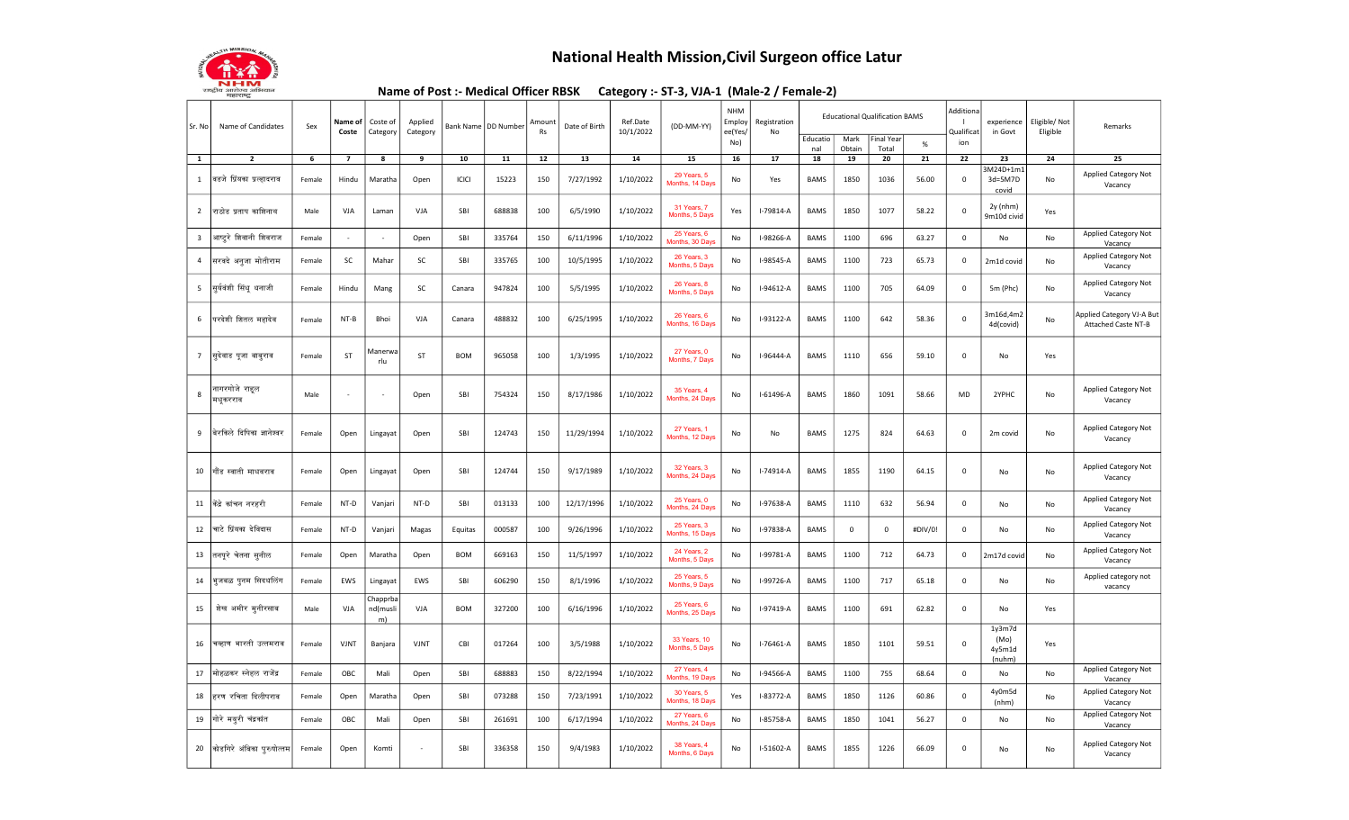

## National Health Mission,Civil Surgeon office Latur

Name of Post :- Medical Officer RBSK Category :- ST-3, VJA-1 (Male-2 / Female-2)

| Sr. No                  | Name of Candidates           | Sex    | Name of<br>Coste         | Coste of<br>Category       | Applied<br>Category |              | Bank Name   DD Number | Amount<br>Rs | Date of Birth | Ref.Date<br>10/1/2022 | (DD-MM-YY)                     | <b>NHM</b><br>Employ<br>ee(Yes/ | Registration<br>No |                 |                | <b>Educational Qualification BAMS</b> |         | Additiona<br>Qualifica | experience<br>in Govt             | Eligible/ Not<br>Eligible | Remarks                                          |
|-------------------------|------------------------------|--------|--------------------------|----------------------------|---------------------|--------------|-----------------------|--------------|---------------|-----------------------|--------------------------------|---------------------------------|--------------------|-----------------|----------------|---------------------------------------|---------|------------------------|-----------------------------------|---------------------------|--------------------------------------------------|
|                         |                              |        |                          |                            |                     |              |                       |              |               |                       |                                | No)                             |                    | Educatio<br>nal | Mark<br>Obtain | inal Year<br>Total                    | $\%$    | ion                    |                                   |                           |                                                  |
| $\mathbf{1}$            | $\overline{2}$               | 6      | $\overline{7}$           | 8                          | 9                   | 10           | 11                    | 12           | 13            | 14                    | 15                             | 16                              | 17                 | 18              | 19             | 20                                    | 21      | 22                     | 23                                | 24                        | 25                                               |
| 1                       | विडजे प्रिंयका प्रल्हादराव   | Female | Hindu                    | Maratha                    | Open                | <b>ICICI</b> | 15223                 | 150          | 7/27/1992     | 1/10/2022             | 29 Years, 5<br>Months, 14 Days | No                              | Yes                | BAMS            | 1850           | 1036                                  | 56.00   | 0                      | $M24D+1m1$<br>3d=5M7D<br>covid    | No                        | Applied Category Not<br>Vacancy                  |
| $\overline{2}$          | तराजेड प्रताप काशिनाथ        | Male   | <b>VJA</b>               | Laman                      | <b>VJA</b>          | SBI          | 688838                | 100          | 6/5/1990      | 1/10/2022             | 31 Years, 7<br>Months, 5 Days  | Yes                             | $I-79814-A$        | <b>BAMS</b>     | 1850           | 1077                                  | 58.22   | $\mathbf 0$            | 2y (nhm)<br>9m10d civid           | Yes                       |                                                  |
| $\overline{\mathbf{3}}$ | आप्ट्ररे शिवानी शिवराज       | Female |                          |                            | Open                | SBI          | 335764                | 150          | 6/11/1996     | 1/10/2022             | 25 Years, 6<br>Months, 30 Days | No                              | I-98266-A          | <b>BAMS</b>     | 1100           | 696                                   | 63.27   | $\mathsf 0$            | No                                | No                        | <b>Applied Category Not</b><br>Vacancy           |
| $\overline{4}$          | सरवदे अनुजा मोतीराम          | Female | SC                       | Mahar                      | SC                  | SBI          | 335765                | 100          | 10/5/1995     | 1/10/2022             | 26 Years, 3<br>Months, 5 Days  | No                              | I-98545-A          | BAMS            | 1100           | 723                                   | 65.73   | $\mathbf 0$            | 2m1d covid                        | No                        | Applied Category Not<br>Vacancy                  |
| 5                       | सूर्यवंशी सिंधू धनाजी        | Female | Hindu                    | Mang                       | SC                  | Canara       | 947824                | 100          | 5/5/1995      | 1/10/2022             | 26 Years, 8<br>Months, 5 Days  | No                              | I-94612-A          | <b>BAMS</b>     | 1100           | 705                                   | 64.09   | 0                      | 5m (Phc)                          | No                        | Applied Category Not<br>Vacancy                  |
| 6                       | परदेशी शितल महादेव           | Female | $NT-B$                   | Bhoi                       | VJA                 | Canara       | 488832                | 100          | 6/25/1995     | 1/10/2022             | 26 Years, 6<br>Months, 16 Days | No                              | I-93122-A          | BAMS            | 1100           | 642                                   | 58.36   | $\mathsf 0$            | 3m16d,4m2<br>4d(covid)            | No                        | Applied Category VJ-A But<br>Attached Caste NT-B |
| $7\overline{ }$         | सुदेवाड पूजा बाबुराव         | Female | ST                       | Manerwa<br>rlu             | ST                  | <b>BOM</b>   | 965058                | 100          | 1/3/1995      | 1/10/2022             | 27 Years, 0<br>Months, 7 Days  | No                              | I-96444-A          | <b>BAMS</b>     | 1110           | 656                                   | 59.10   | $\mathbf 0$            | No                                | Yes                       |                                                  |
| 8                       | नागरगोजे राहल<br>मधूकरराव    | Male   | $\overline{\phantom{a}}$ | $\overline{\phantom{a}}$   | Open                | SBI          | 754324                | 150          | 8/17/1986     | 1/10/2022             | 35 Years, 4<br>Months, 24 Days | No                              | $I-61496-A$        | <b>BAMS</b>     | 1860           | 1091                                  | 58.66   | MD                     | 2YPHC                             | No                        | Applied Category Not<br>Vacancy                  |
| 9                       | बिरकिले दिपिका ज्ञानेश्वर    | Female | Open                     | Lingayat                   | Open                | SBI          | 124743                | 150          | 11/29/1994    | 1/10/2022             | 27 Years, 1<br>Months, 12 Days | No                              | No                 | BAMS            | 1275           | 824                                   | 64.63   | $\mathbf 0$            | 2m covid                          | No                        | <b>Applied Category Not</b><br>Vacancy           |
| 10                      | गौंड स्वाती माधवराव          | Female | Open                     | Lingayat                   | Open                | SBI          | 124744                | 150          | 9/17/1989     | 1/10/2022             | 32 Years, 3<br>Months, 24 Days | No                              | I-74914-A          | BAMS            | 1855           | 1190                                  | 64.15   | $\mathbf 0$            | No                                | No                        | Applied Category Not<br>Vacancy                  |
| 11                      | केंद्रे कांचन नरहरी          | Female | NT-D                     | Vanjari                    | NT-D                | SBI          | 013133                | 100          | 12/17/1996    | 1/10/2022             | 25 Years, 0<br>Months, 24 Days | No                              | I-97638-A          | <b>BAMS</b>     | 1110           | 632                                   | 56.94   | $\mathbf 0$            | No                                | No                        | Applied Category Not<br>Vacancy                  |
| 12                      | चाटे प्रिंयका देविदास        | Female | NT-D                     | Vanjari                    | Magas               | Equitas      | 000587                | 100          | 9/26/1996     | 1/10/2022             | 25 Years, 3<br>Months, 15 Days | No                              | I-97838-A          | <b>BAMS</b>     | $\mathbf 0$    | $\mathbf 0$                           | #DIV/0! | $\mathbf 0$            | No                                | No                        | Applied Category Not<br>Vacancy                  |
| 13                      | तनपूरे चेतना सूनील           | Female | Open                     | Maratha                    | Open                | <b>BOM</b>   | 669163                | 150          | 11/5/1997     | 1/10/2022             | 24 Years, 2<br>Months, 5 Days  | No                              | I-99781-A          | <b>BAMS</b>     | 1100           | 712                                   | 64.73   | $\mathbf 0$            | 2m17d covid                       | No                        | Applied Category Not<br>Vacancy                  |
| 14                      | भुजबळ पुनम सिदधलिंग          | Female | EWS                      | Lingayat                   | EWS                 | SBI          | 606290                | 150          | 8/1/1996      | 1/10/2022             | 25 Years, 5<br>Months, 9 Days  | No                              | I-99726-A          | <b>BAMS</b>     | 1100           | 717                                   | 65.18   | $\mathbf 0$            | No                                | No                        | Applied category not<br>vacancy                  |
| 15                      | शेख अमीर मुनीरसाब            | Male   | VJA                      | Chapprba<br>nd(musli<br>m) | VJA                 | <b>BOM</b>   | 327200                | 100          | 6/16/1996     | 1/10/2022             | 25 Years, 6<br>Months, 25 Days | No                              | I-97419-A          | <b>BAMS</b>     | 1100           | 691                                   | 62.82   | $\mathbf 0$            | No                                | Yes                       |                                                  |
| 16                      | चव्हाण भारती उत्तमराव        | Female | VJNT                     | Banjara                    | VJNT                | CBI          | 017264                | 100          | 3/5/1988      | 1/10/2022             | 33 Years, 10<br>Months, 5 Days | No                              | $I-76461-A$        | <b>BAMS</b>     | 1850           | 1101                                  | 59.51   | $\mathbf 0$            | 1y3m7d<br>(Mo)<br>4y5m1d<br>(num) | Yes                       |                                                  |
| 17                      | मोहळकर स्नेहल राजेंद्र       | Female | OBC                      | Mali                       | Open                | SBI          | 688883                | 150          | 8/22/1994     | 1/10/2022             | 27 Years, 4<br>Months, 19 Days | No                              | I-94566-A          | <b>BAMS</b>     | 1100           | 755                                   | 68.64   | $\mathbf 0$            | No                                | No                        | Applied Category Not<br>Vacancy                  |
| 18                      | हरण रचिता दिलीपराव           | Female | Open                     | Maratha                    | Open                | SBI          | 073288                | 150          | 7/23/1991     | 1/10/2022             | 30 Years, 5<br>Months, 18 Days | Yes                             | I-83772-A          | <b>BAMS</b>     | 1850           | 1126                                  | 60.86   | $\Omega$               | 4y0m5d<br>(nhm)                   | No                        | Applied Category Not<br>Vacancy                  |
| 19                      | गोरे मयूरी चंद्रकांत         | Female | ОВС                      | Mali                       | Open                | SBI          | 261691                | 100          | 6/17/1994     | 1/10/2022             | 27 Years, 6<br>Months, 24 Days | No                              | I-85758-A          | BAMS            | 1850           | 1041                                  | 56.27   | $\mathbf 0$            | No                                | No                        | Applied Category Not<br>Vacancy                  |
|                         | 20 कोडगिरे अंबिका पुरुषोत्तम | Female | Open                     | Komti                      |                     | SBI          | 336358                | 150          | 9/4/1983      | 1/10/2022             | 38 Years, 4<br>Months, 6 Days  | No                              | $I-51602-A$        | <b>BAMS</b>     | 1855           | 1226                                  | 66.09   | $\mathbf 0$            | No                                | No                        | Applied Category Not<br>Vacancy                  |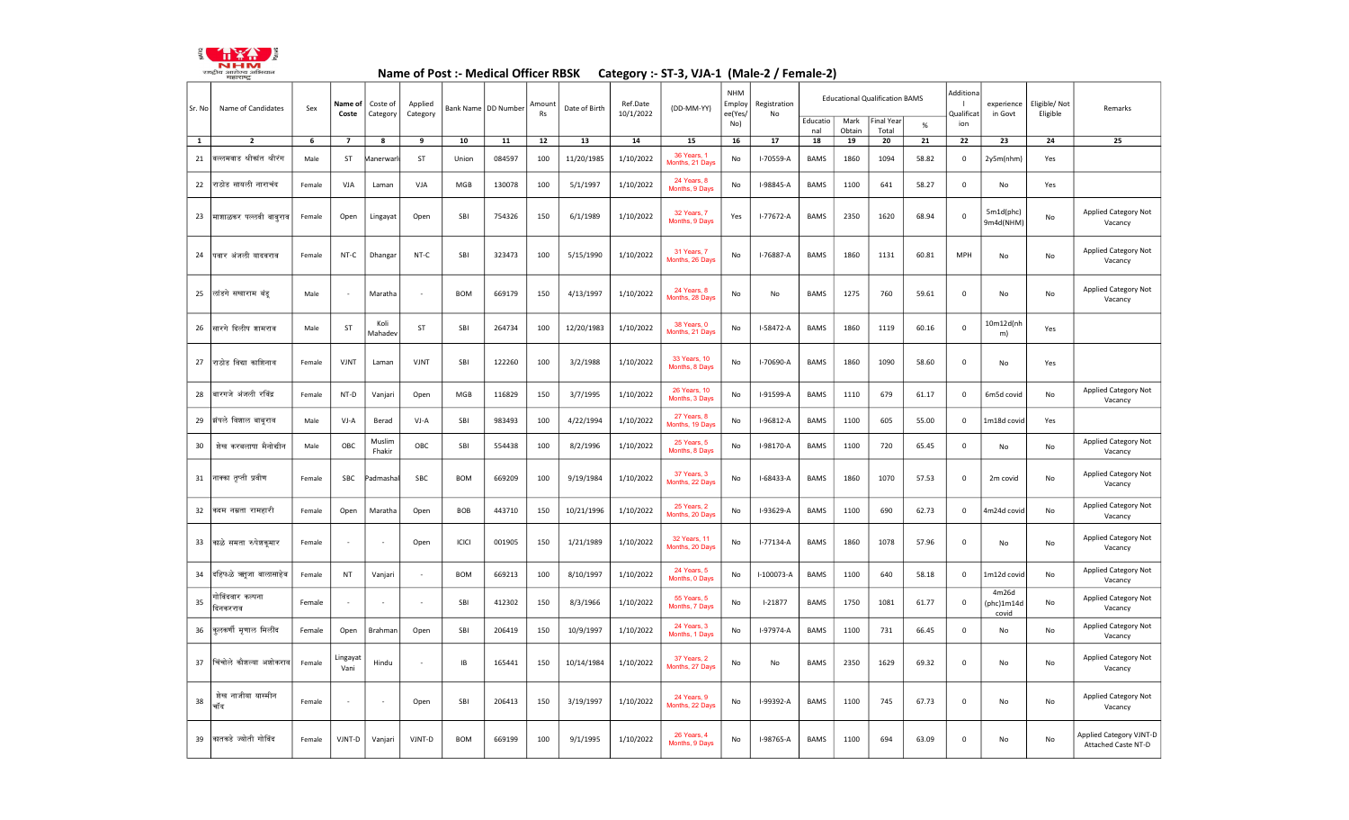

## Name of Post :- Medical Officer RBSK Category :- ST-3, VJA-1 (Male-2 / Female-2)

| Sr. No       | Name of Candidates           | Sex    | Name of<br>Coste | Coste of<br>Category | Applied<br>Category      |            | Bank Name   DD Number | Amoun<br>Rs | Date of Birth | Ref.Date<br>10/1/2022 | (DD-MM-YY)                      | <b>NHM</b><br>Employ<br>ee(Yes/ | Registration<br>No |                 |                | <b>Educational Qualification BAMS</b> |       | Additiona<br>Qualificat | experience<br>in Govt        | Eligible/ Not<br>Eligible | Remarks                                               |
|--------------|------------------------------|--------|------------------|----------------------|--------------------------|------------|-----------------------|-------------|---------------|-----------------------|---------------------------------|---------------------------------|--------------------|-----------------|----------------|---------------------------------------|-------|-------------------------|------------------------------|---------------------------|-------------------------------------------------------|
|              |                              |        |                  |                      |                          |            |                       |             |               |                       |                                 | No)                             |                    | Educatio<br>nal | Mark<br>Obtain | inal Year<br>Total                    | $\%$  | ion                     |                              |                           |                                                       |
| $\mathbf{1}$ | $\mathbf{2}$                 | 6      | $\overline{7}$   | 8                    | 9                        | 10         | 11                    | 12          | 13            | 14                    | 15                              | 16                              | 17                 | 18              | 19             | 20                                    | 21    | 22                      | 23                           | 24                        | 25                                                    |
| 21           | ग्ल्लमवाड श्रीकांत श्रीरंग   | Male   | <b>ST</b>        | <b>Aanerwar</b>      | ST                       | Union      | 084597                | 100         | 11/20/1985    | 1/10/2022             | 36 Years, 1<br>Months, 21 Days  | No                              | I-70559-A          | <b>BAMS</b>     | 1860           | 1094                                  | 58.82 | $\mathbf 0$             | 2y5m(nhm)                    | Yes                       |                                                       |
| 22           | राठोड सायली नाराचंद          | Female | VJA              | Laman                | VJA                      | MGB        | 130078                | 100         | 5/1/1997      | 1/10/2022             | 24 Years, 8<br>Months, 9 Days   | No                              | I-98845-A          | BAMS            | 1100           | 641                                   | 58.27 | $\mathsf 0$             | No                           | Yes                       |                                                       |
| 23           | माशाळकर पल्लवी बाबूराव       | Female | Open             | Lingayat             | Open                     | SBI        | 754326                | 150         | 6/1/1989      | 1/10/2022             | 32 Years, 7<br>Months, 9 Days   | Yes                             | I-77672-A          | BAMS            | 2350           | 1620                                  | 68.94 | $\mathsf 0$             | 5m1d(phc)<br>9m4d(NHM)       | No                        | Applied Category Not<br>Vacancy                       |
| 24           | पिवार अंजली यादवराव          | Female | NT-C             | Dhanga               | NT-C                     | SBI        | 323473                | 100         | 5/15/1990     | 1/10/2022             | 31 Years, 7<br>Months, 26 Days  | No                              | I-76887-A          | <b>BAMS</b>     | 1860           | 1131                                  | 60.81 | <b>MPH</b>              | No                           | No                        | <b>Applied Category Not</b><br>Vacancy                |
| 25           | लांडगे सखाराम बंडू           | Male   |                  | Maratha              | ÷,                       | <b>BOM</b> | 669179                | 150         | 4/13/1997     | 1/10/2022             | 24 Years, 8<br>Months, 28 Days  | No                              | No                 | <b>BAMS</b>     | 1275           | 760                                   | 59.61 | $\mathbf 0$             | No                           | No                        | <b>Applied Category Not</b><br>Vacancy                |
| 26           | सारगे दिलीप शामराव           | Male   | <b>ST</b>        | Koli<br>Mahadev      | ST                       | SBI        | 264734                | 100         | 12/20/1983    | 1/10/2022             | 38 Years, 0<br>Months, 21 Days  | No                              | I-58472-A          | <b>BAMS</b>     | 1860           | 1119                                  | 60.16 | $\mathbf 0$             | 10m12d(nh<br>m)              | Yes                       |                                                       |
| 27           | राठोड विद्या काशिनाथ         | Female | VJNT             | Laman                | VJNT                     | SBI        | 122260                | 100         | 3/2/1988      | 1/10/2022             | 33 Years, 10<br>Months, 8 Days  | No                              | I-70690-A          | <b>BAMS</b>     | 1860           | 1090                                  | 58.60 | $\mathbf 0$             | No                           | Yes                       |                                                       |
| 28           | बारगजे अंजली रविंद्र         | Female | NT-D             | Vanjari              | Open                     | MGB        | 116829                | 150         | 3/7/1995      | 1/10/2022             | 26 Years, 10<br>Months, 3 Days  | No                              | I-91599-A          | <b>BAMS</b>     | 1110           | 679                                   | 61.17 | $\mathbf 0$             | 6m5d covid                   | No                        | Applied Category Not<br>Vacancy                       |
| 29           | झंपले विशाल बाबूराव          | Male   | VJ-A             | Berad                | VJ-A                     | SBI        | 983493                | 100         | 4/22/1994     | 1/10/2022             | 27 Years, 8<br>Months, 19 Days  | No                              | I-96812-A          | <b>BAMS</b>     | 1100           | 605                                   | 55.00 | $\mathbf 0$             | 1m18d covid                  | Yes                       |                                                       |
| 30           | शेख करबलाषा मैनोद्यीन        | Male   | OBC              | Muslim<br>Fhakir     | OBC                      | SBI        | 554438                | 100         | 8/2/1996      | 1/10/2022             | 25 Years, 5<br>Months, 8 Days   | No                              | I-98170-A          | <b>BAMS</b>     | 1100           | 720                                   | 65.45 | $\mathbf 0$             | No                           | No                        | Applied Category Not<br>Vacancy                       |
| 31           | नाक्का तृप्ती प्रवीण         | Female | SBC              | Padmasha             | SBC                      | <b>BOM</b> | 669209                | 100         | 9/19/1984     | 1/10/2022             | 37 Years, 3<br>Months, 22 Days  | No                              | I-68433-A          | BAMS            | 1860           | 1070                                  | 57.53 | $\Omega$                | 2m covid                     | No                        | Applied Category Not<br>Vacancy                       |
| 32           | कदम नम्रता रामहारी           | Female | Open             | Maratha              | Open                     | BOB        | 443710                | 150         | 10/21/1996    | 1/10/2022             | 25 Years, 2<br>Months, 20 Days  | No                              | I-93629-A          | BAMS            | 1100           | 690                                   | 62.73 | 0                       | 4m24d covid                  | No                        | Applied Category Not<br>Vacancy                       |
| 33           | काळे समता रुपेशकूमार         | Female |                  |                      | Open                     | ICICI      | 001905                | 150         | 1/21/1989     | 1/10/2022             | 32 Years, 11<br>Months, 20 Days | No                              | $I - 77134 - A$    | <b>BAMS</b>     | 1860           | 1078                                  | 57.96 | $\mathbf 0$             | No                           | No                        | Applied Category Not<br>Vacancy                       |
| 34           | दहिफळे ऋतूजा बालासाहेब       | Female | <b>NT</b>        | Vanjari              |                          | <b>BOM</b> | 669213                | 100         | 8/10/1997     | 1/10/2022             | 24 Years, 5<br>Months, 0 Days   | No                              | I-100073-A         | <b>BAMS</b>     | 1100           | 640                                   | 58.18 | $\mathbf 0$             | 1m12d covid                  | No                        | Applied Category Not<br>Vacancy                       |
| 35           | गोविंदवार कल्पना<br>दिनकरराव | Female |                  |                      |                          | SBI        | 412302                | 150         | 8/3/1966      | 1/10/2022             | 55 Years, 5<br>Months, 7 Days   | No                              | $I-21877$          | <b>BAMS</b>     | 1750           | 1081                                  | 61.77 | 0                       | 4m26d<br>(phc)1m14d<br>covid | No                        | Applied Category Not<br>Vacancy                       |
| 36           | कुलकर्णी मृणाल मिलींद        | Female | Open             | Brahman              | Open                     | SBI        | 206419                | 150         | 10/9/1997     | 1/10/2022             | 24 Years, 3<br>Months, 1 Days   | No                              | I-97974-A          | <b>BAMS</b>     | 1100           | 731                                   | 66.45 | $\mathbf 0$             | No                           | No                        | Applied Category Not<br>Vacancy                       |
| 37           | चिंचोले कौशल्या अशोकराव      | Female | Lingayat<br>Vani | Hindu                | $\overline{\phantom{a}}$ | IB         | 165441                | 150         | 10/14/1984    | 1/10/2022             | 37 Years, 2<br>Months, 27 Days  | No                              | No                 | <b>BAMS</b>     | 2350           | 1629                                  | 69.32 | $\mathbf 0$             | No                           | No                        | Applied Category Not<br>Vacancy                       |
| 38           | नाजीया यास्मीन<br>जेख<br>चॉद | Female |                  |                      | Open                     | SBI        | 206413                | 150         | 3/19/1997     | 1/10/2022             | 24 Years, 9<br>Months, 22 Days  | No                              | I-99392-A          | <b>BAMS</b>     | 1100           | 745                                   | 67.73 | $\mathbf 0$             | No                           | No                        | Applied Category Not<br>Vacancy                       |
| 39           | कातकडे ज्योती गोविंद         | Female | VJNT-D           | Vanjari              | VJNT-D                   | <b>BOM</b> | 669199                | 100         | 9/1/1995      | 1/10/2022             | 26 Years, 4<br>Months, 9 Days   | No                              | I-98765-A          | <b>BAMS</b>     | 1100           | 694                                   | 63.09 | $\mathbf 0$             | No                           | No                        | <b>Applied Category VJNT-D</b><br>Attached Caste NT-D |